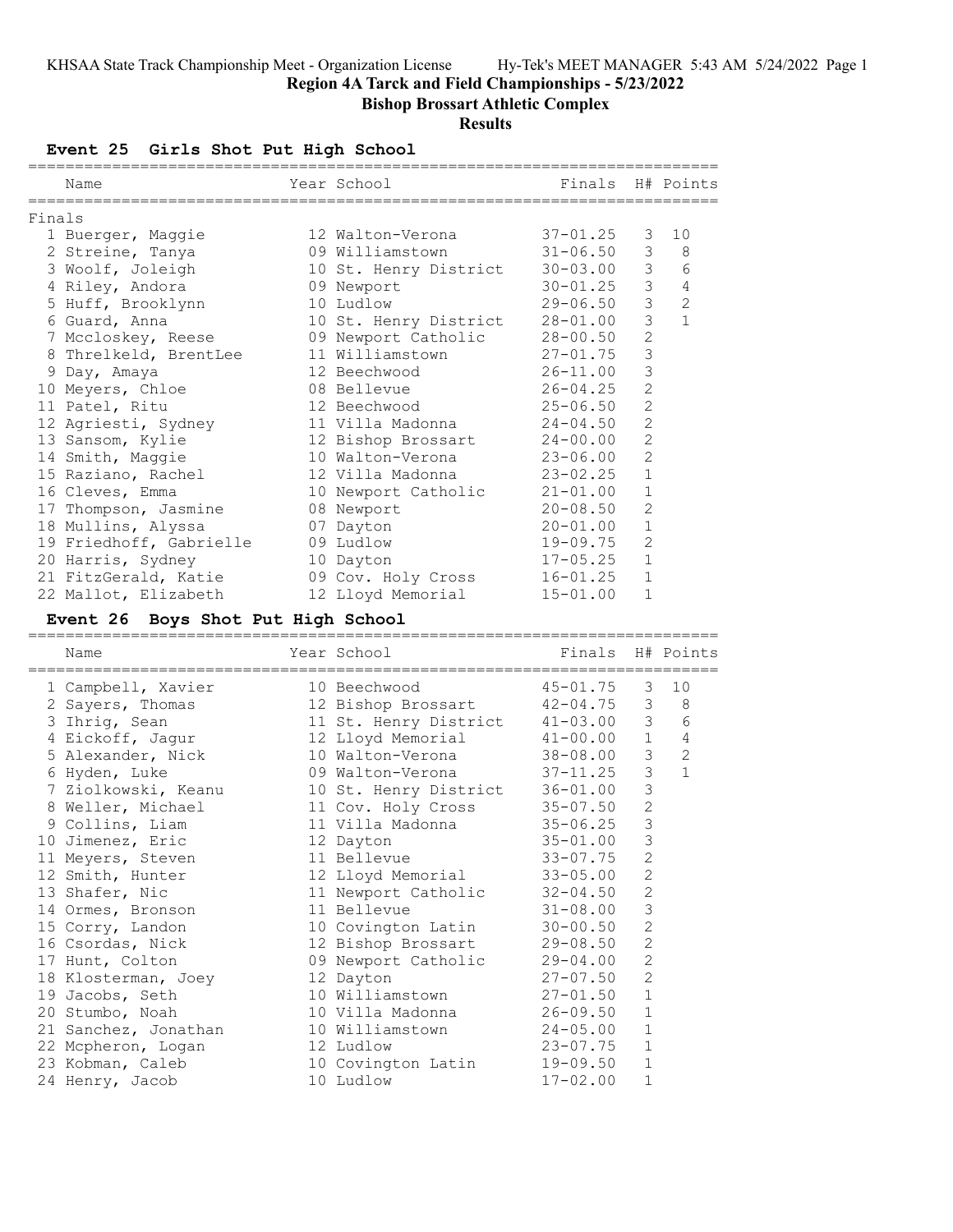**Region 4A Tarck and Field Championships - 5/23/2022**

**Bishop Brossart Athletic Complex**

# **Results**

# **Event 25 Girls Shot Put High School**

|        | Name                    | Year School           | Finals H# Points |                |                |
|--------|-------------------------|-----------------------|------------------|----------------|----------------|
| Finals |                         |                       |                  |                |                |
|        | 1 Buerger, Maggie       | 12 Walton-Verona      | $37 - 01.25$     | 3              | 10             |
|        | 2 Streine, Tanya        | 09 Williamstown       | $31 - 06.50$     | 3              | 8              |
|        | 3 Woolf, Joleigh        | 10 St. Henry District | $30 - 03.00$     | 3              | 6              |
|        | 4 Riley, Andora         | 09 Newport            | $30 - 01.25$     | $\mathfrak{Z}$ | $\overline{4}$ |
|        | 5 Huff, Brooklynn       | 10 Ludlow             | $29 - 06.50$     | 3              | $\overline{c}$ |
|        | 6 Guard, Anna           | 10 St. Henry District | $28 - 01.00$     | $\overline{3}$ | $\mathbf{1}$   |
|        | 7 Mccloskey, Reese      | 09 Newport Catholic   | $28 - 00.50$     | $\overline{2}$ |                |
|        | 8 Threlkeld, BrentLee   | 11 Williamstown       | $27 - 01.75$     | 3              |                |
|        | 9 Day, Amaya            | 12 Beechwood          | $26 - 11.00$     | 3              |                |
|        | 10 Meyers, Chloe        | 08 Bellevue           | $26 - 04.25$     | $\overline{2}$ |                |
|        | 11 Patel, Ritu          | 12 Beechwood          | $25 - 06.50$     | $\overline{2}$ |                |
|        | 12 Agriesti, Sydney     | 11 Villa Madonna      | $24 - 04.50$     | $\overline{2}$ |                |
|        | 13 Sansom, Kylie        | 12 Bishop Brossart    | $24 - 00.00$     | $\overline{2}$ |                |
|        | 14 Smith, Maggie        | 10 Walton-Verona      | $23 - 06.00$     | $\overline{2}$ |                |
|        | 15 Raziano, Rachel      | 12 Villa Madonna      | $23 - 02.25$     | $\mathbf{1}$   |                |
|        | 16 Cleves, Emma         | 10 Newport Catholic   | $21 - 01.00$     | $\mathbf 1$    |                |
|        | 17 Thompson, Jasmine    | 08 Newport            | $20 - 08.50$     | $\overline{2}$ |                |
|        | 18 Mullins, Alyssa      | 07 Dayton             | $20 - 01.00$     | $\mathbf{1}$   |                |
|        | 19 Friedhoff, Gabrielle | 09 Ludlow             | 19-09.75         | $\overline{2}$ |                |
|        | 20 Harris, Sydney       | 10 Dayton             | $17 - 05.25$     | $\mathbf{1}$   |                |
|        | 21 FitzGerald, Katie    | 09 Cov. Holy Cross    | $16 - 01.25$     | $\mathbf{1}$   |                |
|        | 22 Mallot, Elizabeth    | 12 Lloyd Memorial     | $15 - 01.00$     | 1              |                |

# **Event 26 Boys Shot Put High School**

| Name                 | Year School           | Finals       |                | H# Points      |
|----------------------|-----------------------|--------------|----------------|----------------|
| 1 Campbell, Xavier   | 10 Beechwood          | $45 - 01.75$ | $\mathcal{E}$  | 10             |
| 2 Sayers, Thomas     | 12 Bishop Brossart    | $42 - 04.75$ | 3              | 8              |
| 3 Ihrig, Sean        | 11 St. Henry District | $41 - 03.00$ | $\mathcal{S}$  | $\epsilon$     |
| 4 Eickoff, Jagur     | 12 Lloyd Memorial     | $41 - 00.00$ | 1              | $\overline{4}$ |
| 5 Alexander, Nick    | 10 Walton-Verona      | 38-08.00     | $\mathcal{S}$  | $\overline{2}$ |
| 6 Hyden, Luke        | 09 Walton-Verona      | $37 - 11.25$ | $\mathfrak{Z}$ | $\mathbf{1}$   |
| 7 Ziolkowski, Keanu  | 10 St. Henry District | $36 - 01.00$ | 3              |                |
| 8 Weller, Michael    | 11 Cov. Holy Cross    | $35 - 07.50$ | $\overline{c}$ |                |
| 9 Collins, Liam      | 11 Villa Madonna      | $35 - 06.25$ | $\mathsf 3$    |                |
| 10 Jimenez, Eric     | 12 Dayton             | $35 - 01.00$ | 3              |                |
| 11 Meyers, Steven    | 11 Bellevue           | $33 - 07.75$ | $\overline{c}$ |                |
| 12 Smith, Hunter     | 12 Lloyd Memorial     | $33 - 05.00$ | $\overline{c}$ |                |
| 13 Shafer, Nic       | 11 Newport Catholic   | $32 - 04.50$ | $\overline{c}$ |                |
| 14 Ormes, Bronson    | 11 Bellevue           | $31 - 08.00$ | $\mathsf 3$    |                |
| 15 Corry, Landon     | 10 Covington Latin    | $30 - 00.50$ | $\overline{c}$ |                |
| 16 Csordas, Nick     | 12 Bishop Brossart    | $29 - 08.50$ | $\overline{c}$ |                |
| 17 Hunt, Colton      | 09 Newport Catholic   | $29 - 04.00$ | $\overline{c}$ |                |
| 18 Klosterman, Joey  | 12 Dayton             | $27 - 07.50$ | $\mathbf{2}$   |                |
| 19 Jacobs, Seth      | 10 Williamstown       | $27 - 01.50$ | $\mathbf 1$    |                |
| 20 Stumbo, Noah      | 10 Villa Madonna      | $26 - 09.50$ | $\mathbf{1}$   |                |
| 21 Sanchez, Jonathan | 10 Williamstown       | $24 - 05.00$ | $\mathbf{1}$   |                |
| 22 Mcpheron, Logan   | 12 Ludlow             | 23-07.75     | 1              |                |
| 23 Kobman, Caleb     | 10 Covington Latin    | 19-09.50     | $\mathbf{1}$   |                |
| 24 Henry, Jacob      | 10 Ludlow             | $17 - 02.00$ | $\mathbf 1$    |                |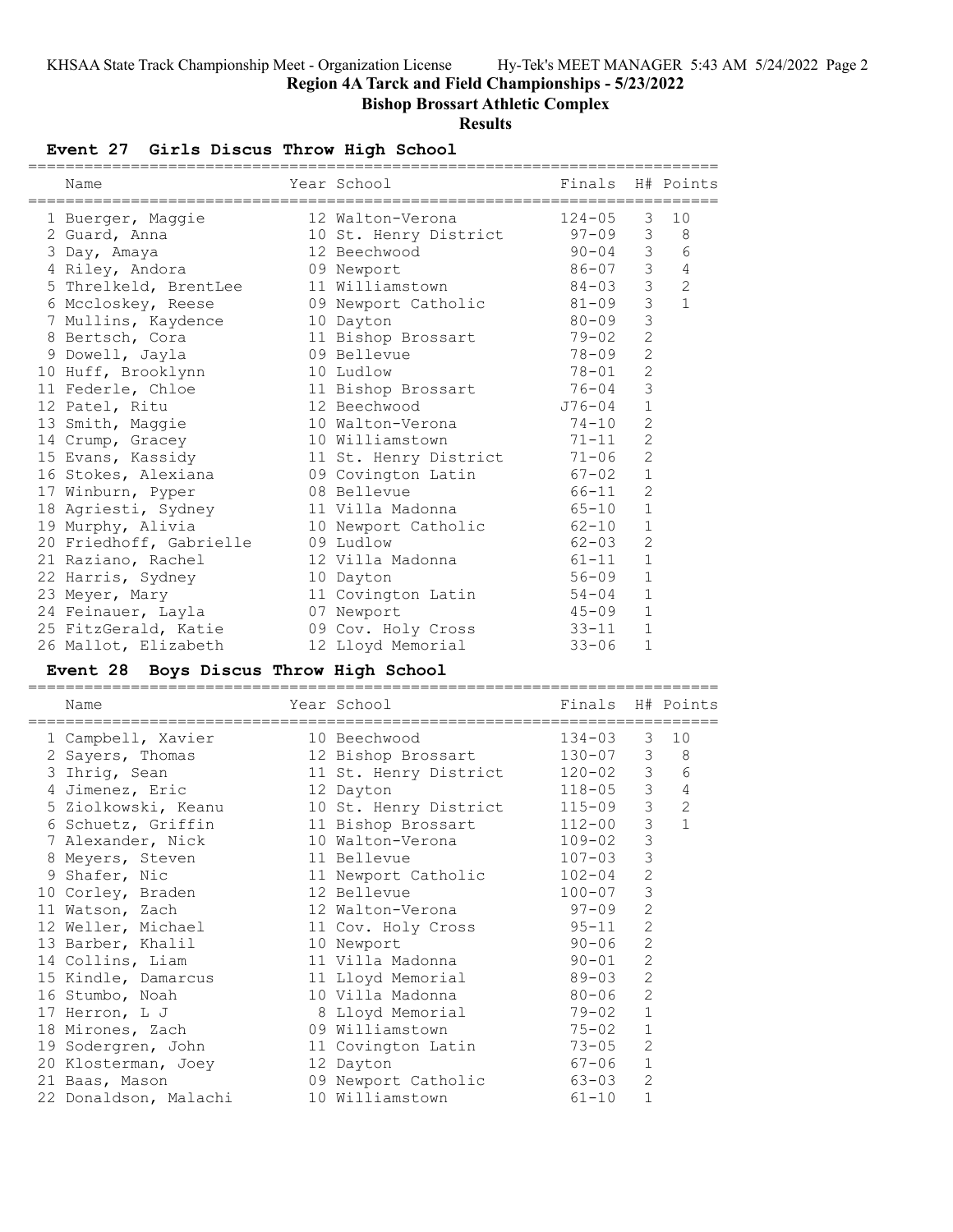**Region 4A Tarck and Field Championships - 5/23/2022**

**Bishop Brossart Athletic Complex**

**Results**

# **Event 27 Girls Discus Throw High School**

| Name                    | Year School                   | Finals H# Points |                |                |
|-------------------------|-------------------------------|------------------|----------------|----------------|
| 1 Buerger, Maggie       | 12 Walton-Verona              | $124 - 05$       | 3              | 10             |
| 2 Guard, Anna           | 10 St. Henry District 97-09 3 |                  |                | 8              |
| 3 Day, Amaya            | 12 Beechwood                  | $90 - 04$ 3      |                | 6              |
| 4 Riley, Andora         | 09 Newport                    | $86 - 07$ 3      |                | $\sqrt{4}$     |
| 5 Threlkeld, BrentLee   | 11 Williamstown 84-03         |                  | $\mathcal{E}$  | $\overline{c}$ |
| 6 Mccloskey, Reese      | 09 Newport Catholic 81-09 3   |                  |                | $\mathbf{1}$   |
| 7 Mullins, Kaydence     | 10 Dayton                     | $80 - 09$        | 3              |                |
| 8 Bertsch, Cora         | 11 Bishop Brossart 79-02      |                  | $\overline{2}$ |                |
| 9 Dowell, Jayla         | 09 Bellevue                   | 78-09            | 2              |                |
| 10 Huff, Brooklynn      | 10 Ludlow                     | $78 - 01$        | $\overline{c}$ |                |
| 11 Federle, Chloe       | 11 Bishop Brossart 76-04      |                  | 3              |                |
| 12 Patel, Ritu          | 12 Beechwood                  | $J76 - 04$       | $\mathbf{1}$   |                |
| 13 Smith, Maggie        | 10 Walton-Verona              | $74 - 10$        | $\overline{2}$ |                |
| 14 Crump, Gracey        | 10 Williamstown               | $71 - 11$        | $\overline{c}$ |                |
| 15 Evans, Kassidy       | 11 St. Henry District 71-06   |                  | $\overline{2}$ |                |
| 16 Stokes, Alexiana     | 09 Covington Latin            | $67 - 02$        | $1\,$          |                |
| 17 Winburn, Pyper       | 08 Bellevue                   | $66 - 11$        | $\overline{c}$ |                |
| 18 Agriesti, Sydney     | 11 Villa Madonna              | $65 - 10$        | $\mathbf{1}$   |                |
| 19 Murphy, Alivia       | 10 Newport Catholic 62-10     |                  | $\mathbf 1$    |                |
| 20 Friedhoff, Gabrielle | 09 Ludlow                     | $62 - 03$        | $\overline{2}$ |                |
| 21 Raziano, Rachel      | 12 Villa Madonna              | $61 - 11$        | 1              |                |
| 22 Harris, Sydney       | 10 Dayton                     | $56 - 09$        | $\mathbf{1}$   |                |
| 23 Meyer, Mary          | 11 Covington Latin 54-04      |                  | $\mathbf{1}$   |                |
| 24 Feinauer, Layla      | 07 Newport                    | $45 - 09$        | $\mathbf{1}$   |                |
| 25 FitzGerald, Katie    | 09 Cov. Holy Cross 33-11      |                  | $\mathbf{1}$   |                |
| 26 Mallot, Elizabeth    | 12 Lloyd Memorial             | $33 - 06$        | $\mathbf 1$    |                |

# **Event 28 Boys Discus Throw High School**

|   | Name                  | Year School           | Finals H# Points |                |              |
|---|-----------------------|-----------------------|------------------|----------------|--------------|
|   | 1 Campbell, Xavier    | 10 Beechwood          | $134 - 03$       | 3              | 10           |
|   | 2 Sayers, Thomas      | 12 Bishop Brossart    | 130-07           | 3 <sup>7</sup> | 8            |
|   | 3 Ihrig, Sean         | 11 St. Henry District | $120 - 02$       | $\mathcal{S}$  | 6            |
|   | 4 Jimenez, Eric       | 12 Dayton             | $118 - 05$       | $\mathcal{S}$  | 4            |
|   | 5 Ziolkowski, Keanu   | 10 St. Henry District | $115 - 09$       | $\mathcal{S}$  | 2            |
|   | 6 Schuetz, Griffin    | 11 Bishop Brossart    | $112 - 00$       | 3              | $\mathbf{1}$ |
|   | 7 Alexander, Nick     | 10 Walton-Verona      | $109 - 02$       | 3              |              |
|   | 8 Meyers, Steven      | 11 Bellevue           | $107 - 03$       | 3              |              |
| 9 | Shafer, Nic           | 11 Newport Catholic   | $102 - 04$       | $\overline{c}$ |              |
|   | 10 Corley, Braden     | 12 Bellevue           | $100 - 07$       | 3              |              |
|   | 11 Watson, Zach       | 12 Walton-Verona      | $97 - 09$        | 2              |              |
|   | 12 Weller, Michael    | 11 Cov. Holy Cross    | $95 - 11$        | $\overline{2}$ |              |
|   | 13 Barber, Khalil     | 10 Newport            | $90 - 06$        | $\overline{2}$ |              |
|   | 14 Collins, Liam      | 11 Villa Madonna      | $90 - 01$        | $\overline{2}$ |              |
|   | 15 Kindle, Damarcus   | 11 Lloyd Memorial     | 89-03            | 2              |              |
|   | 16 Stumbo, Noah       | 10 Villa Madonna      | 80-06            | 2              |              |
|   | 17 Herron, L J        | 8 Lloyd Memorial      | 79-02            | $\mathbf{1}$   |              |
|   | 18 Mirones, Zach      | 09 Williamstown       | 75-02            | $\mathbf{1}$   |              |
|   | 19 Sodergren, John    | 11 Covington Latin    | $73 - 05$        | 2              |              |
|   | 20 Klosterman, Joey   | 12 Dayton             | 67-06            | $\mathbf{1}$   |              |
|   | 21 Baas, Mason        | 09 Newport Catholic   | 63-03            | $\overline{2}$ |              |
|   | 22 Donaldson, Malachi | 10 Williamstown       | $61 - 10$        | $\mathbf{1}$   |              |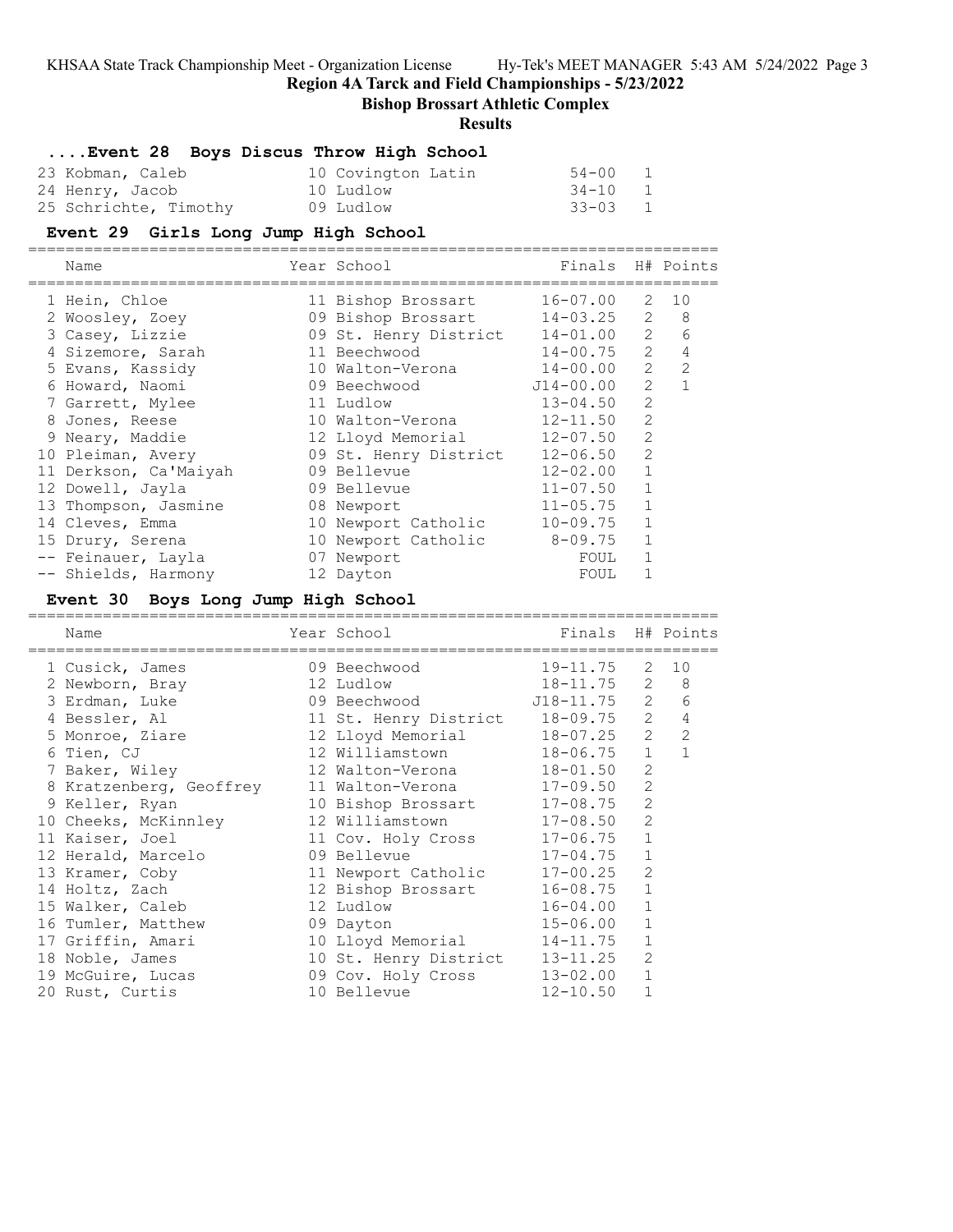**Region 4A Tarck and Field Championships - 5/23/2022**

# **Bishop Brossart Athletic Complex**

### **Results**

# **....Event 28 Boys Discus Throw High School**

| 23 Kobman, Caleb      | 10 Covington Latin | 54-00   | $\overline{1}$ |
|-----------------------|--------------------|---------|----------------|
| 24 Henry, Jacob       | 10 Ludlow          | 34-10 1 |                |
| 25 Schrichte, Timothy | 09 Ludlow          | 33-03 1 |                |

#### **Event 29 Girls Long Jump High School**

==========================================================================

| Name                  | Year School           | Finals H# Points |                                                                                                                                                                      |    |
|-----------------------|-----------------------|------------------|----------------------------------------------------------------------------------------------------------------------------------------------------------------------|----|
| 1 Hein, Chloe         | 11 Bishop Brossart    | $16 - 07.00$     | 2                                                                                                                                                                    | 10 |
| 2 Woosley, Zoey       | 09 Bishop Brossart    | $14 - 03.25$     | 2                                                                                                                                                                    | 8  |
| 3 Casey, Lizzie       | 09 St. Henry District | 14-01.00         | $\overline{2}$                                                                                                                                                       | 6  |
| 4 Sizemore, Sarah     | 11 Beechwood          | $14 - 00.75$     | 2                                                                                                                                                                    | 4  |
| 5 Evans, Kassidy      | 10 Walton-Verona      | $14 - 00.00$     | $\overline{2}$                                                                                                                                                       | 2  |
| 6 Howard, Naomi       | 09 Beechwood          | $J14 - 00.00$    | $\mathcal{L}$                                                                                                                                                        |    |
| 7 Garrett, Mylee      | 11 Ludlow             | $13 - 04.50$     | $\mathcal{D}_{\mathcal{L}}^{\mathcal{L}}(\mathcal{L}) = \mathcal{D}_{\mathcal{L}}^{\mathcal{L}}(\mathcal{L}) = \mathcal{D}_{\mathcal{L}}^{\mathcal{L}}(\mathcal{L})$ |    |
| 8 Jones, Reese        | 10 Walton-Verona      | $12 - 11.50$     | $\mathcal{D}_{\mathcal{L}}^{\mathcal{L}}(\mathcal{L}) = \mathcal{D}_{\mathcal{L}}^{\mathcal{L}}(\mathcal{L}) = \mathcal{D}_{\mathcal{L}}^{\mathcal{L}}(\mathcal{L})$ |    |
| 9 Neary, Maddie       | 12 Lloyd Memorial     | 12-07.50         | $\mathcal{D}_{\mathcal{L}}^{\mathcal{L}}(\mathcal{L})=\mathcal{D}_{\mathcal{L}}^{\mathcal{L}}(\mathcal{L})\mathcal{D}_{\mathcal{L}}^{\mathcal{L}}(\mathcal{L})$      |    |
| 10 Pleiman, Avery     | 09 St. Henry District | $12 - 06.50$     | 2                                                                                                                                                                    |    |
| 11 Derkson, Ca'Maiyah | 09 Bellevue           | $12 - 02.00$     |                                                                                                                                                                      |    |
| 12 Dowell, Jayla      | 09 Bellevue           | $11 - 07.50$     |                                                                                                                                                                      |    |
| 13 Thompson, Jasmine  | 08 Newport            | $11 - 05.75$     |                                                                                                                                                                      |    |
| 14 Cleves, Emma       | 10 Newport Catholic   | $10 - 09.75$     |                                                                                                                                                                      |    |
| 15 Drury, Serena      | 10 Newport Catholic   | $8 - 09.75$      |                                                                                                                                                                      |    |
| -- Feinauer, Layla    | 07 Newport            | FOUL             |                                                                                                                                                                      |    |
| -- Shields, Harmony   | 12 Dayton             | FOUL             |                                                                                                                                                                      |    |

### **Event 30 Boys Long Jump High School**

| Name                    | Year School<br>----------------- | Finals H# Points |                |                               |
|-------------------------|----------------------------------|------------------|----------------|-------------------------------|
| 1 Cusick, James         | 09 Beechwood                     | 19-11.75         | 2              | 10                            |
| 2 Newborn, Bray         | 12 Ludlow                        | $18 - 11.75$     | 2              | 8                             |
| 3 Erdman, Luke          | 09 Beechwood                     | $J18 - 11.75$    |                | $2^{\circ}$<br>6              |
| 4 Bessler, Al           | 11 St. Henry District 18-09.75   |                  |                | $2^{\circ}$<br>$\overline{4}$ |
| 5 Monroe, Ziare         | 12 Lloyd Memorial                | $18 - 07.25$     | $\overline{2}$ | 2                             |
| 6 Tien, CJ              | 12 Williamstown 18-06.75         |                  | $\mathbf{1}$   | $\mathbf{1}$                  |
| 7 Baker, Wiley          | 12 Walton-Verona 18-01.50        |                  | $\overline{2}$ |                               |
| 8 Kratzenberg, Geoffrey | 11 Walton-Verona                 | 17-09.50         | 2              |                               |
| 9 Keller, Ryan          | 10 Bishop Brossart 17-08.75      |                  | $\overline{2}$ |                               |
| 10 Cheeks, McKinnley    | 12 Williamstown 17-08.50         |                  | $\overline{2}$ |                               |
| 11 Kaiser, Joel         | 11 Cov. Holy Cross 17-06.75      |                  | $\mathbf{1}$   |                               |
| 12 Herald, Marcelo      | 09 Bellevue                      | $17 - 04.75$     | $\mathbf{1}$   |                               |
| 13 Kramer, Coby         | 11 Newport Catholic 17-00.25     |                  | $\overline{2}$ |                               |
| 14 Holtz, Zach          | 12 Bishop Brossart               | $16 - 08.75$     | $\mathbf{1}$   |                               |
| 15 Walker, Caleb        | 12 Ludlow                        | $16 - 04.00$     | $\mathbf{1}$   |                               |
| 16 Tumler, Matthew      | 09 Dayton                        | $15 - 06.00$     | $\mathbf{1}$   |                               |
| 17 Griffin, Amari       | 10 Lloyd Memorial                | 14-11.75         | $\mathbf 1$    |                               |
| 18 Noble, James         | 10 St. Henry District 13-11.25   |                  | $\mathcal{L}$  |                               |
| 19 McGuire, Lucas       | 09 Cov. Holy Cross               | $13 - 02.00$     | $\mathbf 1$    |                               |
| 20 Rust, Curtis         | 10 Bellevue                      | $12 - 10.50$     | $\mathbf{1}$   |                               |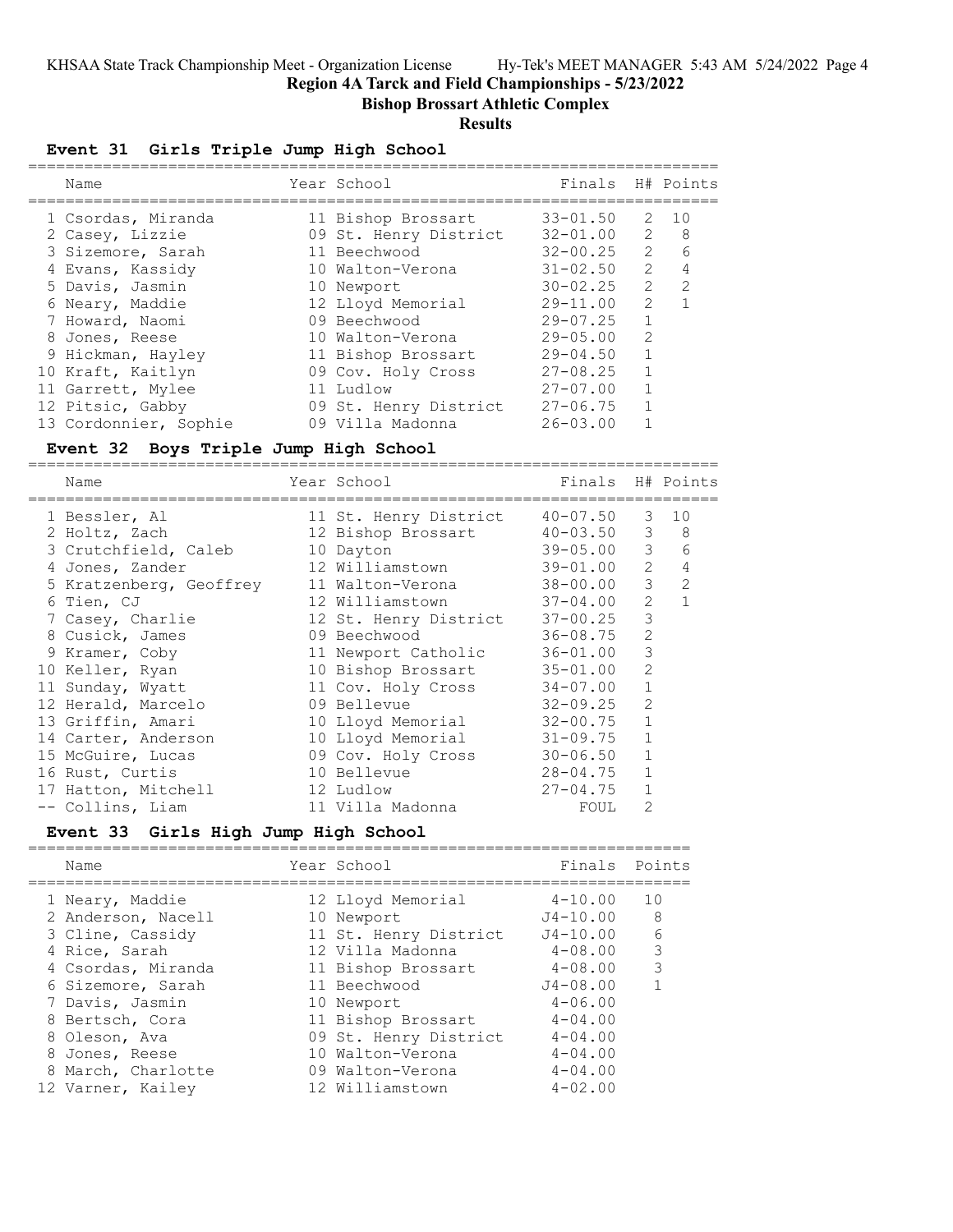**Region 4A Tarck and Field Championships - 5/23/2022**

**Bishop Brossart Athletic Complex**

#### **Results**

#### **Event 31 Girls Triple Jump High School**

| Name                  | Year School           | Finals H# Points |               |                |
|-----------------------|-----------------------|------------------|---------------|----------------|
| 1 Csordas, Miranda    | 11 Bishop Brossart    | $33 - 01.50$     | 2             | 10             |
| 2 Casey, Lizzie       | 09 St. Henry District | $32 - 01.00$     | 2             | - 8            |
| 3 Sizemore, Sarah     | 11 Beechwood          | $32 - 00.25$     | $\mathcal{L}$ | 6              |
| 4 Evans, Kassidy      | 10 Walton-Verona      | $31 - 02.50$     | $\mathcal{L}$ | 4              |
| 5 Davis, Jasmin       | 10 Newport            | $30 - 02.25$     | $\mathcal{P}$ | $\overline{2}$ |
| 6 Neary, Maddie       | 12 Lloyd Memorial     | $29 - 11.00$     | $\mathcal{P}$ |                |
| 7 Howard, Naomi       | 09 Beechwood          | $29 - 07.25$     |               |                |
| 8 Jones, Reese        | 10 Walton-Verona      | $29 - 05.00$     | $\mathcal{P}$ |                |
| 9 Hickman, Hayley     | 11 Bishop Brossart    | $29 - 04.50$     |               |                |
| 10 Kraft, Kaitlyn     | 09 Cov. Holy Cross    | $27 - 08.25$     |               |                |
| 11 Garrett, Mylee     | 11 Ludlow             | $27 - 07.00$     |               |                |
| 12 Pitsic, Gabby      | 09 St. Henry District | $27 - 06.75$     |               |                |
| 13 Cordonnier, Sophie | 09 Villa Madonna      | $26 - 03.00$     |               |                |

#### **Event 32 Boys Triple Jump High School**

========================================================================== Year School Finals H# Points ========================================================================== 1 Bessler, Al 11 St. Henry District 40-07.50 3 10 2 Holtz, Zach 12 Bishop Brossart 40-03.50 3 8 3 Crutchfield, Caleb 10 Dayton 39-05.00 3 6 4 Jones, Zander 12 Williamstown 39-01.00 2 4 5 Kratzenberg, Geoffrey 11 Walton-Verona 38-00.00 3 2 6 Tien, CJ 12 Williamstown 37-04.00 2 1 7 Casey, Charlie 12 St. Henry District 37-00.25 3 8 Cusick, James 09 Beechwood 36-08.75 2 9 Kramer, Coby 11 Newport Catholic 36-01.00 3 10 Keller, Ryan 10 Bishop Brossart 35-01.00 2 11 Sunday, Wyatt 11 Cov. Holy Cross 34-07.00 1 12 Herald, Marcelo 09 Bellevue 32-09.25 2 13 Griffin, Amari 10 Lloyd Memorial 32-00.75 1 14 Carter, Anderson 10 Lloyd Memorial 31-09.75 1 15 McGuire, Lucas 09 Cov. Holy Cross 30-06.50 1 16 Rust, Curtis 10 Bellevue 28-04.75 1 17 Hatton, Mitchell 12 Ludlow 27-04.75 1 -- Collins, Liam 11 Villa Madonna FOUL 2

#### **Event 33 Girls High Jump High School**

| Name                                                                                                                                                                                                                 | Year School                                                                                                                                                                                                             | Finals                                                                                                                                                               | Points            |
|----------------------------------------------------------------------------------------------------------------------------------------------------------------------------------------------------------------------|-------------------------------------------------------------------------------------------------------------------------------------------------------------------------------------------------------------------------|----------------------------------------------------------------------------------------------------------------------------------------------------------------------|-------------------|
| 1 Neary, Maddie<br>2 Anderson, Nacell<br>3 Cline, Cassidy<br>4 Rice, Sarah<br>4 Csordas, Miranda<br>6 Sizemore, Sarah<br>7 Davis, Jasmin<br>8 Bertsch, Cora<br>8 Oleson, Ava<br>8 Jones, Reese<br>8 March, Charlotte | 12 Lloyd Memorial<br>10 Newport<br>11 St. Henry District<br>12 Villa Madonna<br>11 Bishop Brossart<br>11 Beechwood<br>10 Newport<br>11 Bishop Brossart<br>09 St. Henry District<br>10 Walton-Verona<br>09 Walton-Verona | $4 - 10.00$<br>$J4 - 10.00$<br>$J4 - 10.00$<br>$4 - 08.00$<br>$4 - 08.00$<br>$J4 - 08.00$<br>$4 - 06.00$<br>$4 - 04.00$<br>$4 - 04.00$<br>$4 - 04.00$<br>$4 - 04.00$ | 10<br>8<br>6<br>3 |
| 12 Varner, Kailey                                                                                                                                                                                                    | 12 Williamstown                                                                                                                                                                                                         | $4 - 02.00$                                                                                                                                                          |                   |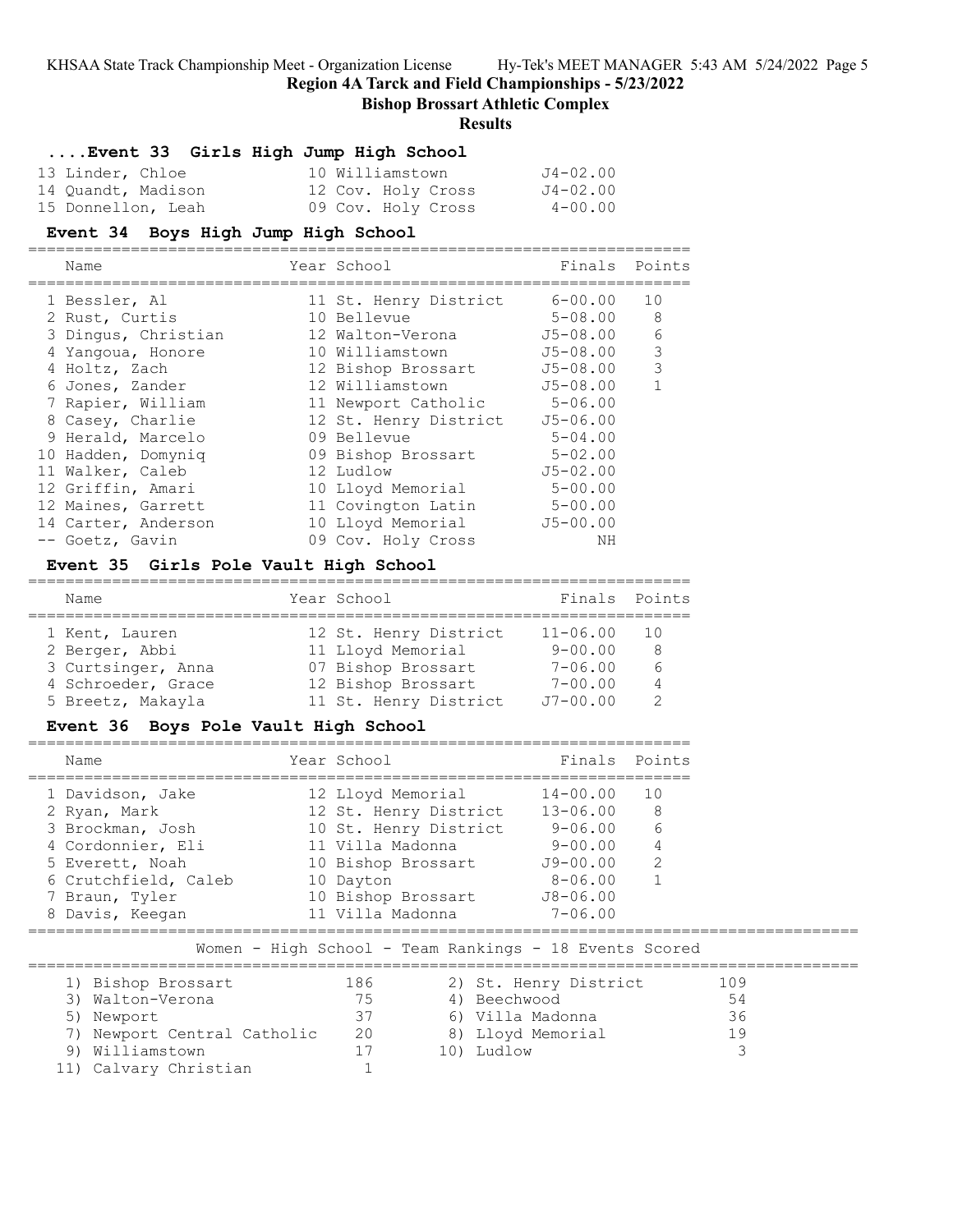**Region 4A Tarck and Field Championships - 5/23/2022**

**Bishop Brossart Athletic Complex**

### **Results**

# **....Event 33 Girls High Jump High School**

| 13 Linder, Chloe   | 10 Williamstown    | J4-02.00 |
|--------------------|--------------------|----------|
| 14 Quandt, Madison | 12 Cov. Holy Cross | J4-02.00 |
| 15 Donnellon, Leah | 09 Cov. Holy Cross | 4-00.00  |

|   | Event 34 Boys High Jump High School |                       |              |        |
|---|-------------------------------------|-----------------------|--------------|--------|
|   | Name                                | Year School           | Finals       | Points |
|   | 1 Bessler, Al                       | 11 St. Henry District | $6 - 00.00$  | 10     |
|   | 2 Rust, Curtis                      | 10 Bellevue           | $5 - 08.00$  | 8      |
|   | 3 Dingus, Christian                 | 12 Walton-Verona      | $J5 - 08.00$ | 6      |
| 4 | Yangoua, Honore                     | 10 Williamstown       | $J5 - 08.00$ | 3      |
|   | 4 Holtz, Zach                       | 12 Bishop Brossart    | $J5 - 08.00$ | 3      |
|   | 6 Jones, Zander                     | 12 Williamstown       | $J5 - 08.00$ |        |
|   | 7 Rapier, William                   | 11 Newport Catholic   | 5-06.00      |        |
|   | 8 Casey, Charlie                    | 12 St. Henry District | $J5 - 06.00$ |        |
|   | 9 Herald, Marcelo                   | 09 Bellevue           | $5 - 04.00$  |        |
|   | 10 Hadden, Domynig                  | 09 Bishop Brossart    | $5 - 02.00$  |        |
|   | 11 Walker, Caleb                    | 12 Ludlow             | $J5 - 02.00$ |        |
|   | 12 Griffin, Amari                   | 10 Lloyd Memorial     | $5 - 00.00$  |        |
|   | 12 Maines, Garrett                  | 11 Covington Latin    | $5 - 00.00$  |        |
|   | 14 Carter, Anderson                 | 10 Lloyd Memorial     | $J5 - 00.00$ |        |
|   | -- Goetz, Gavin                     | 09 Cov. Holy Cross    | NΗ           |        |

### **Event 35 Girls Pole Vault High School**

| Name               | Year School           | Finals Points |                 |
|--------------------|-----------------------|---------------|-----------------|
| 1 Kent, Lauren     | 12 St. Henry District | $11 - 06.00$  | $\overline{10}$ |
| 2 Berger, Abbi     | 11 Lloyd Memorial     | $9 - 00.00$   | -8              |
| 3 Curtsinger, Anna | 07 Bishop Brossart    | $7 - 06.00$   | 6               |
| 4 Schroeder, Grace | 12 Bishop Brossart    | $7 - 00.00$   | $\overline{4}$  |
| 5 Breetz, Makayla  | 11 St. Henry District | $J7 - 00.00$  |                 |

# **Event 36 Boys Pole Vault High School**

| Name                 | Year School           |              | Finals Points   |
|----------------------|-----------------------|--------------|-----------------|
| 1 Davidson, Jake     | 12 Lloyd Memorial     | $14 - 00.00$ | $\overline{10}$ |
| 2 Ryan, Mark         | 12 St. Henry District | $13 - 06.00$ | - 8             |
| 3 Brockman, Josh     | 10 St. Henry District | 9-06.00      | 6               |
| 4 Cordonnier, Eli    | 11 Villa Madonna      | $9 - 00.00$  | $\overline{4}$  |
| 5 Everett, Noah      | 10 Bishop Brossart    | $J9 - 00.00$ | 2               |
| 6 Crutchfield, Caleb | 10 Dayton             | $8 - 06.00$  |                 |
| 7 Braun, Tyler       | 10 Bishop Brossart    | J8-06.00     |                 |
| 8 Davis, Keeqan      | 11 Villa Madonna      | $7 - 06.00$  |                 |

Women - High School - Team Rankings - 18 Events Scored

| 1) Bishop Brossart          | 186 | 2) St. Henry District | 109 |
|-----------------------------|-----|-----------------------|-----|
| 3) Walton-Verona            | 75. | 4) Beechwood          | 54  |
| 5) Newport                  | 37  | 6) Villa Madonna      | 36  |
| 7) Newport Central Catholic | 20  | 8) Lloyd Memorial     | 19  |
| 9) Williamstown             |     | 10) Ludlow            |     |
| 11) Calvary Christian       |     |                       |     |